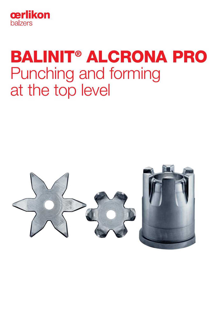

# BALINIT® ALCRONA PRO Punching and forming at the top level

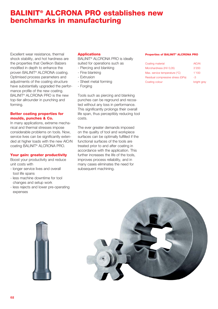## BALINIT® ALCRONA PRO establishes new benchmarks in manufacturing

Excellent wear resistance, thermal shock stability, and hot hardness are the properties that Oerlikon Balzers modified in depth to enhance the proven BALINIT® ALCRONA coating. Optimised process parameters and adjustments of the coating structure have substantially upgraded the performance profile of the new coating. BALINIT® ALCRONA PRO is the new top-tier allrounder in punching and forming.

#### Better coating properties for moulds, punches & Co.

In many applications, extreme mechanical and thermal stresses impose considerable problems on tools. Now, service lives can be significantly extended at higher loads with the new AlCrN coating BALINIT® ALCRONA PRO.

#### Your gain: greater productivity

Boost your productivity and reduce unit costs with

- longer service lives and overall tool life spans
- less machine downtime for tool changes and setup work
- less rejects and lower pre-operating expenses

#### **Applications**

BALINIT® ALCRONA PRO is ideally

- suited for operations such as
- Piercing and blanking
- Fine blanking
- Extrusion
- Sheet metal forming
- Forging

Tools such as piercing and blanking punches can be reground and recoated without any loss in performance. This significantly prolongs their overall life span, thus perceptibly reducing tool costs.

The ever greater demands imposed on the quality of tool and workpiece surfaces can be optimally fulfilled if the functional surfaces of the tools are treated prior to and after coating in accordance with the application. This further increases the life of the tools, improves process reliability, and in many cases eliminates the need for subsequent machining.

#### Properties of BALINIT® ALCRONA PRO

| Coating material                  | <b>AICrN</b> |
|-----------------------------------|--------------|
| Microhardness (HV 0,05)           | 3'200        |
| Max. service temperature (°C)     | 1'100        |
| Residual compressive stress (GPa) | -3           |
| Coating colour                    | bright grey  |

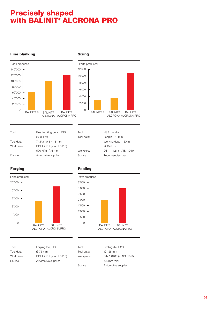## Precisely shaped with BALINIT® ALCRONA PRO



#### Fine blanking **Sizing**



Working depth 150 mm

Ø 15.5 mm Workpiece: DIN 1.1121 (~ AISI 1010) Source: Tube manufacturer

Tool: HSS mandrel Tool data: Length 270 mm

| Tool:      | Fine blanking punch P15      |  |
|------------|------------------------------|--|
|            | (S390PM)                     |  |
| Tool data: | 74.5 x 40.8 x 18 mm          |  |
| Workpiece: | DIN 1.7131 (~ AISI 5115),    |  |
|            | 500 N/mm <sup>2</sup> , 6 mm |  |
| Source:    | Automotive supplier          |  |

### Forging **Peeling**



|  | ۰. | . .<br>۰. |  |  |  |
|--|----|-----------|--|--|--|
|  |    |           |  |  |  |
|  |    |           |  |  |  |
|  |    |           |  |  |  |



| Tool:      |
|------------|
| Tool data: |
| Workpiece: |
| Source:    |

| Tool:      | Forging tool, HSS        |
|------------|--------------------------|
| Tool data: | Ø 75 mm                  |
| Workpiece: | DIN 1.7131 (~ AISI 5115) |
| Source:    | Automotive supplier      |

| Tool:      |  |
|------------|--|
| Tool data: |  |
| Workpiece: |  |
|            |  |

Peeling die, HSS  $\varnothing$  125 mm DIN 1.0406 (~ AISI 1025), 4.5 mm thick Source: Automotive supplier